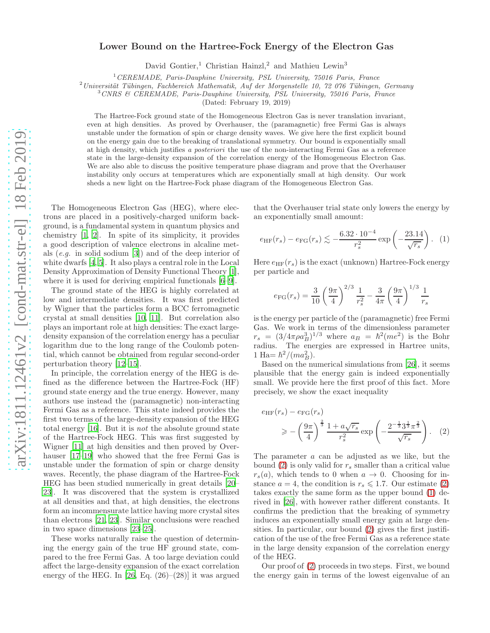# Lower Bound on the Hartree-Fock Energy of the Electron Gas

David Gontier,<sup>1</sup> Christian Hainzl,<sup>2</sup> and Mathieu Lewin<sup>3</sup>

 $1$  CEREMADE, Paris-Dauphine University, PSL University, 75016 Paris, France

 $2$ Universität Tübingen, Fachbereich Mathematik, Auf der Morgenstelle 10, 72 076 Tübingen, Germany

<sup>3</sup>CNRS & CEREMADE, Paris-Dauphine University, PSL University, 75016 Paris, France

(Dated: February 19, 2019)

The Hartree-Fock ground state of the Homogeneous Electron Gas is never translation invariant, even at high densities. As proved by Overhauser, the (paramagnetic) free Fermi Gas is always unstable under the formation of spin or charge density waves. We give here the first explicit bound on the energy gain due to the breaking of translational symmetry. Our bound is exponentially small at high density, which justifies a posteriori the use of the non-interacting Fermi Gas as a reference state in the large-density expansion of the correlation energy of the Homogeneous Electron Gas. We are also able to discuss the positive temperature phase diagram and prove that the Overhauser instability only occurs at temperatures which are exponentially small at high density. Our work sheds a new light on the Hartree-Fock phase diagram of the Homogeneous Electron Gas.

The Homogeneous Electron Gas (HEG), where electrons are placed in a positively-charged uniform background, is a fundamental system in quantum physics and chemistry [\[1,](#page-6-0) [2](#page-6-1)]. In spite of its simplicity, it provides a good description of valence electrons in alcaline metals (e.g. in solid sodium [\[3\]](#page-6-2)) and of the deep interior of white dwarfs [\[4](#page-6-3), [5\]](#page-6-4). It also plays a central role in the Local Density Approximation of Density Functional Theory [\[1\]](#page-6-0), where it is used for deriving empirical functionals [\[6](#page-6-5)[–9\]](#page-7-0).

The ground state of the HEG is highly correlated at low and intermediate densities. It was first predicted by Wigner that the particles form a BCC ferromagnetic crystal at small densities [\[10,](#page-7-1) [11](#page-7-2)]. But correlation also plays an important role at high densities: The exact largedensity expansion of the correlation energy has a peculiar logarithm due to the long range of the Coulomb potential, which cannot be obtained from regular second-order perturbation theory [\[12–](#page-7-3)[15\]](#page-7-4).

In principle, the correlation energy of the HEG is defined as the difference between the Hartree-Fock (HF) ground state energy and the true energy. However, many authors use instead the (paramagnetic) non-interacting Fermi Gas as a reference. This state indeed provides the first two terms of the large-density expansion of the HEG total energy [\[16\]](#page-7-5). But it is not the absolute ground state of the Hartree-Fock HEG. This was first suggested by Wigner [\[11](#page-7-2)] at high densities and then proved by Overhauser [\[17](#page-7-6)[–19\]](#page-7-7) who showed that the free Fermi Gas is unstable under the formation of spin or charge density waves. Recently, the phase diagram of the Hartree-Fock HEG has been studied numerically in great details [\[20](#page-7-8)– [23\]](#page-7-9). It was discovered that the system is crystallized at all densities and that, at high densities, the electrons form an incommensurate lattice having more crystal sites than electrons [\[21](#page-7-10), [23](#page-7-9)]. Similar conclusions were reached in two space dimensions [\[23](#page-7-9)[–25\]](#page-7-11).

These works naturally raise the question of determining the energy gain of the true HF ground state, compared to the free Fermi Gas. A too large deviation could affect the large-density expansion of the exact correlation energy of the HEG. In  $[26, Eq. (26)-(28)]$  it was argued that the Overhauser trial state only lowers the energy by an exponentially small amount:

<span id="page-0-1"></span>
$$
e_{\text{HF}}(r_s) - e_{\text{FG}}(r_s) \lesssim -\frac{6.32 \cdot 10^{-4}}{r_s^2} \exp\left(-\frac{23.14}{\sqrt{r_s}}\right).
$$
 (1)

Here  $e_{HF}(r_s)$  is the exact (unknown) Hartree-Fock energy per particle and

$$
e_{\text{FG}}(r_s) = \frac{3}{10} \left(\frac{9\pi}{4}\right)^{2/3} \frac{1}{r_s^2} - \frac{3}{4\pi} \left(\frac{9\pi}{4}\right)^{1/3} \frac{1}{r_s}
$$

is the energy per particle of the (paramagnetic) free Fermi Gas. We work in terms of the dimensionless parameter  $r_s = (3/4\pi\rho a_B^3)^{1/3}$  where  $a_B = \hbar^2 (me^2)$  is the Bohr radius. The energies are expressed in Hartree units, 1 Ha=  $\hbar^2/(m a_B^2)$ .

Based on the numerical simulations from [\[26\]](#page-7-12), it seems plausible that the energy gain is indeed exponentially small. We provide here the first proof of this fact. More precisely, we show the exact inequality

<span id="page-0-0"></span>
$$
e_{HF}(r_s) - e_{FG}(r_s)
$$
  
\n
$$
\ge -\left(\frac{9\pi}{4}\right)^{\frac{2}{3}} \frac{1 + a\sqrt{r_s}}{r_s^2} \exp\left(-\frac{2^{-\frac{1}{3}} 3^{\frac{1}{3}} \pi^{\frac{2}{3}}}{\sqrt{r_s}}\right).
$$
 (2)

The parameter a can be adjusted as we like, but the bound [\(2\)](#page-0-0) is only valid for  $r_s$  smaller than a critical value  $r_s(a)$ , which tends to 0 when  $a \to 0$ . Choosing for instance  $a = 4$ , the condition is  $r_s \leq 1.7$ . Our estimate [\(2\)](#page-0-0) takes exactly the same form as the upper bound [\(1\)](#page-0-1) derived in [\[26\]](#page-7-12), with however rather different constants. It confirms the prediction that the breaking of symmetry induces an exponentially small energy gain at large densities. In particular, our bound [\(2\)](#page-0-0) gives the first justification of the use of the free Fermi Gas as a reference state in the large density expansion of the correlation energy of the HEG.

Our proof of [\(2\)](#page-0-0) proceeds in two steps. First, we bound the energy gain in terms of the lowest eigenvalue of an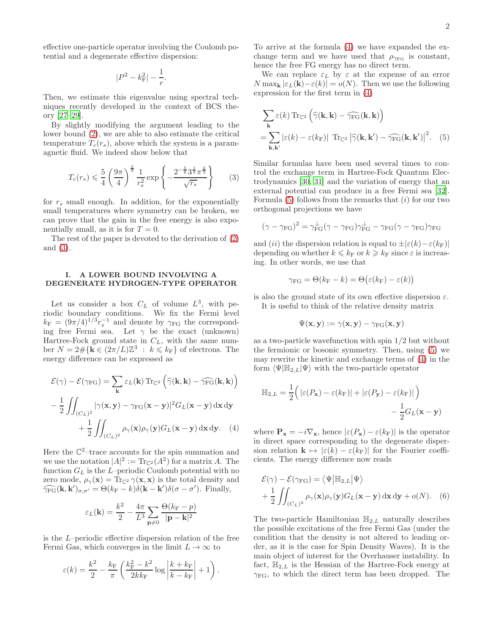effective one-particle operator involving the Coulomb potential and a degenerate effective dispersion:

$$
|P^2 - k_{\rm F}^2| - \frac{1}{r}.
$$

Then, we estimate this eigenvalue using spectral techniques recently developed in the context of BCS theory [\[27](#page-7-13)[–29](#page-7-14)].

By slightly modifying the argument leading to the lower bound [\(2\)](#page-0-0), we are able to also estimate the critical temperature  $T_c(r_s)$ , above which the system is a paramagnetic fluid. We indeed show below that

<span id="page-1-0"></span>
$$
T_c(r_s) \leq \frac{5}{4} \left(\frac{9\pi}{4}\right)^{\frac{2}{3}} \frac{1}{r_s^2} \exp\left\{-\frac{2^{-\frac{5}{6}} 3^{\frac{1}{3}} \pi^{\frac{2}{3}}}{\sqrt{r_s}}\right\} \tag{3}
$$

for  $r<sub>s</sub>$  small enough. In addition, for the exponentially small temperatures where symmetry can be broken, we can prove that the gain in the free energy is also exponentially small, as it is for  $T = 0$ .

The rest of the paper is devoted to the derivation of [\(2\)](#page-0-0) and [\(3\)](#page-1-0).

## <span id="page-1-4"></span>I. A LOWER BOUND INVOLVING A DEGENERATE HYDROGEN-TYPE OPERATOR

Let us consider a box  $C_L$  of volume  $L^3$ , with periodic boundary conditions. We fix the Fermi level  $k_{\rm F} = (9\pi/4)^{1/3} r_s^{-1}$  and denote by  $\gamma_{\rm FG}$  the corresponding free Fermi sea. Let  $\gamma$  be the exact (unknown) Hartree-Fock ground state in  $C_L$ , with the same number  $N = 2 \# \{ \mathbf{k} \in (2\pi/L)\mathbb{Z}^3 : k \leq k_F \}$  of electrons. The energy difference can be expressed as

$$
\mathcal{E}(\gamma) - \mathcal{E}(\gamma_{FG}) = \sum_{\mathbf{k}} \varepsilon_{L}(\mathbf{k}) \operatorname{Tr}_{\mathbb{C}^{2}} \left( \hat{\gamma}(\mathbf{k}, \mathbf{k}) - \hat{\gamma}_{FG}(\mathbf{k}, \mathbf{k}) \right)
$$

$$
- \frac{1}{2} \iint_{(C_{L})^{2}} |\gamma(\mathbf{x}, \mathbf{y}) - \gamma_{FG}(\mathbf{x} - \mathbf{y})|^{2} G_{L}(\mathbf{x} - \mathbf{y}) \, d\mathbf{x} \, d\mathbf{y}
$$

$$
+ \frac{1}{2} \iint_{(C_{L})^{2}} \rho_{\gamma}(\mathbf{x}) \rho_{\gamma}(\mathbf{y}) G_{L}(\mathbf{x} - \mathbf{y}) \, d\mathbf{x} \, d\mathbf{y}.
$$
 (4)

Here the  $\mathbb{C}^2$ -trace accounts for the spin summation and we use the notation  $|A|^2 := \text{Tr}_{\mathbb{C}^2}(A^2)$  for a matrix A. The function  $G_L$  is the L–periodic Coulomb potential with no zero mode,  $\rho_{\gamma}(\mathbf{x}) = \text{Tr}_{\mathbb{C}^2} \gamma(\mathbf{x}, \mathbf{x})$  is the total density and  $\widehat{\gamma_{FG}}(\mathbf{k}, \mathbf{k}')_{\sigma, \sigma'} = \Theta(k_F - k)\delta(\mathbf{k} - \mathbf{k}')\delta(\sigma - \sigma').$  Finally,

$$
\varepsilon_L(\mathbf{k}) = \frac{k^2}{2} - \frac{4\pi}{L^3} \sum_{\mathbf{p} \neq 0} \frac{\Theta(k_{\rm F} - p)}{|\mathbf{p} - \mathbf{k}|^2}
$$

is the L–periodic effective dispersion relation of the free Fermi Gas, which converges in the limit  $L \to \infty$  to

$$
\varepsilon(k) = \frac{k^2}{2} - \frac{k_{\rm F}}{\pi} \left( \frac{k_{\rm F}^2 - k^2}{2k k_{\rm F}} \log \left| \frac{k + k_{\rm F}}{k - k_{\rm F}} \right| + 1 \right).
$$

To arrive at the formula [\(4\)](#page-1-1) we have expanded the exchange term and we have used that  $\rho_{\gamma_{\text{FG}}}$  is constant, hence the free FG energy has no direct term.

We can replace  $\varepsilon_L$  by  $\varepsilon$  at the expense of an error  $N \max_{\mathbf{k}} |\varepsilon_L(\mathbf{k}) - \varepsilon(k)| = o(N)$ . Then we use the following expression for the first term in [\(4\)](#page-1-1)

<span id="page-1-2"></span>
$$
\sum_{\mathbf{k}} \varepsilon(k) \operatorname{Tr}_{\mathbb{C}^{2}} \left( \widehat{\gamma}(\mathbf{k}, \mathbf{k}) - \widehat{\gamma_{FG}}(\mathbf{k}, \mathbf{k}) \right)
$$
  
= 
$$
\sum_{\mathbf{k}, \mathbf{k'}} \left| \varepsilon(k) - \varepsilon(k_{F}) \right| \operatorname{Tr}_{\mathbb{C}^{2}} \left| \widehat{\gamma}(\mathbf{k}, \mathbf{k'}) - \widehat{\gamma_{FG}}(\mathbf{k}, \mathbf{k'}) \right|^{2}.
$$
 (5)

Similar formulas have been used several times to control the exchange term in Hartree-Fock Quantum Electrodynamics [\[30,](#page-7-15) [31\]](#page-7-16) and the variation of energy that an external potential can produce in a free Fermi sea [\[32\]](#page-7-17). Formula  $(5)$  follows from the remarks that  $(i)$  for our two orthogonal projections we have

$$
(\gamma - \gamma_{\text{FG}})^2 = \gamma_{\text{FG}}^{\perp}(\gamma - \gamma_{\text{FG}})\gamma_{\text{FG}}^{\perp} - \gamma_{\text{FG}}(\gamma - \gamma_{\text{FG}})\gamma_{\text{FG}}
$$

and (ii) the dispersion relation is equal to  $\pm |\varepsilon(k)-\varepsilon(k_F)|$ depending on whether  $k \leq k_F$  or  $k \geq k_F$  since  $\varepsilon$  is increasing. In other words, we use that

$$
\gamma_{\rm FG} = \Theta(k_{\rm F}-k) = \Theta\big(\varepsilon(k_{\rm F})-\varepsilon(k)\big)
$$

is also the ground state of its own effective dispersion  $\varepsilon$ . It is useful to think of the relative density matrix

$$
\Psi(\mathbf{x},\mathbf{y}) := \gamma(\mathbf{x},\mathbf{y}) - \gamma_{\text{FG}}(\mathbf{x},\mathbf{y})
$$

as a two-particle wavefunction with spin 1/2 but without the fermionic or bosonic symmetry. Then, using [\(5\)](#page-1-2) we may rewrite the kinetic and exchange terms of [\(4\)](#page-1-1) in the form  $\langle \Psi | \mathbb{H}_{2,L} | \Psi \rangle$  with the two-particle operator

$$
\mathbb{H}_{2,L} = \frac{1}{2} \Big( |\varepsilon(P_{\mathbf{x}}) - \varepsilon(k_{\mathrm{F}})| + |\varepsilon(P_{\mathbf{y}}) - \varepsilon(k_{\mathrm{F}})| \Big) - \frac{1}{2} G_L(\mathbf{x} - \mathbf{y})
$$

<span id="page-1-1"></span>where  $P_x = -i\nabla_x$ , hence  $|\varepsilon(P_x) - \varepsilon(k_F)|$  is the operator in direct space corresponding to the degenerate dispersion relation  $\mathbf{k} \mapsto |\varepsilon(k) - \varepsilon(k_F)|$  for the Fourier coefficients. The energy difference now reads

<span id="page-1-3"></span>
$$
\mathcal{E}(\gamma) - \mathcal{E}(\gamma_{FG}) = \langle \Psi | \mathbb{H}_{2,L} | \Psi \rangle + \frac{1}{2} \iint_{(C_L)^2} \rho_{\gamma}(\mathbf{x}) \rho_{\gamma}(\mathbf{y}) G_L(\mathbf{x} - \mathbf{y}) \, d\mathbf{x} \, d\mathbf{y} + o(N). \quad (6)
$$

The two-particle Hamiltonian  $\mathbb{H}_{2,L}$  naturally describes the possible excitations of the free Fermi Gas (under the condition that the density is not altered to leading order, as it is the case for Spin Density Waves). It is the main object of interest for the Overhauser instability. In fact,  $\mathbb{H}_{2,L}$  is the Hessian of the Hartree-Fock energy at  $\gamma_{\text{FG}}$ , to which the direct term has been dropped. The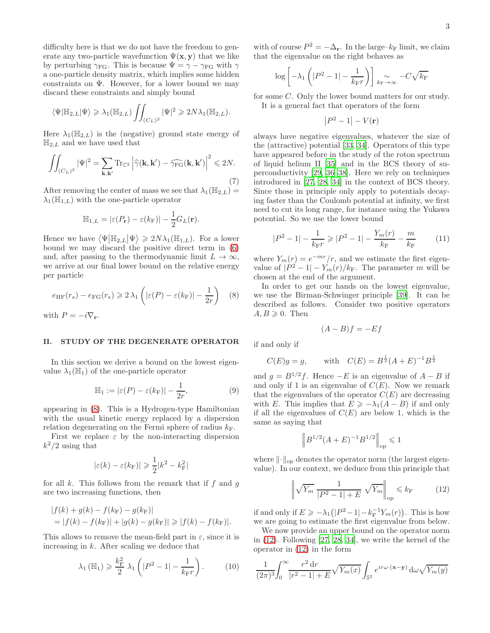difficulty here is that we do not have the freedom to generate any two-particle wavefunction  $\Psi(\mathbf{x}, \mathbf{y})$  that we like by perturbing  $\gamma_{FG}$ . This is because  $\Psi = \gamma - \gamma_{FG}$  with  $\gamma$ a one-particle density matrix, which implies some hidden constraints on  $\Psi$ . However, for a lower bound we may discard these constraints and simply bound

$$
\langle \Psi | \mathbb{H}_{2,L} | \Psi \rangle \geqslant \lambda_1(\mathbb{H}_{2,L}) \iint_{(C_L)^2} |\Psi|^2 \geqslant 2N \lambda_1(\mathbb{H}_{2,L}).
$$

Here  $\lambda_1(\mathbb{H}_{2,L})$  is the (negative) ground state energy of  $\mathbb{H}_{2,L}$  and we have used that

<span id="page-2-4"></span>
$$
\iint_{(C_L)^2} |\Psi|^2 = \sum_{\mathbf{k}, \mathbf{k}'} \text{Tr}_{\mathbb{C}^2} \left| \widehat{\gamma}(\mathbf{k}, \mathbf{k}') - \widehat{\gamma_{FG}}(\mathbf{k}, \mathbf{k}') \right|^2 \leq 2N. \tag{7}
$$

After removing the center of mass we see that  $\lambda_1(\mathbb{H}_{2,L})$  =  $\lambda_1(\mathbb{H}_{1,L})$  with the one-particle operator

$$
\mathbb{H}_{1,L} = |\varepsilon(P_{\mathbf{r}}) - \varepsilon(k_{\mathrm{F}})| - \frac{1}{2}G_L(\mathbf{r}).
$$

Hence we have  $\langle \Psi | \mathbb{H}_{2,L} | \Psi \rangle \geq 2N \lambda_1(\mathbb{H}_{1,L})$ . For a lower bound we may discard the positive direct term in [\(6\)](#page-1-3) and, after passing to the thermodynamic limit  $L \to \infty$ , we arrive at our final lower bound on the relative energy per particle

<span id="page-2-0"></span>
$$
e_{\text{HF}}(r_s) - e_{\text{FG}}(r_s) \ge 2\lambda_1 \left( |\varepsilon(P) - \varepsilon(k_{\text{F}})| - \frac{1}{2r} \right) \tag{8}
$$

with  $P = -i\nabla_{\mathbf{r}}$ .

#### II. STUDY OF THE DEGENERATE OPERATOR

In this section we derive a bound on the lowest eigenvalue  $\lambda_1(\mathbb{H}_1)$  of the one-particle operator

<span id="page-2-5"></span>
$$
\mathbb{H}_1 := |\varepsilon(P) - \varepsilon(k_F)| - \frac{1}{2r},\tag{9}
$$

appearing in [\(8\)](#page-2-0). This is a Hydrogen-type Hamiltonian with the usual kinetic energy replaced by a dispersion relation degenerating on the Fermi sphere of radius  $k_F$ .

First we replace  $\varepsilon$  by the non-interacting dispersion  $k^2/2$  using that

$$
|\varepsilon(k) - \varepsilon(k_{\rm F})| \geq \frac{1}{2}|k^2 - k_{\rm F}^2|
$$

for all k. This follows from the remark that if f and  $q$ are two increasing functions, then

$$
|f(k) + g(k) - f(k_{\rm F}) - g(k_{\rm F})|
$$
  
= |f(k) - f(k\_{\rm F})| + |g(k) - g(k\_{\rm F})| \ge |f(k) - f(k\_{\rm F})|.

This allows to remove the mean-field part in  $\varepsilon$ , since it is increasing in  $k$ . After scaling we deduce that

$$
\lambda_1\left(\mathbb{H}_1\right) \geqslant \frac{k_{\rm F}^2}{2} \lambda_1\left(\left|P^2 - 1\right| - \frac{1}{k_{\rm F}r}\right). \tag{10}
$$

with of course  $P^2 = -\Delta_r$ . In the large– $k_F$  limit, we claim that the eigenvalue on the right behaves as

$$
\log\left[-\lambda_1\left(\left|P^2-1\right|-\frac{1}{k_{\rm F}r}\right)\right]\underset{k_{\rm F}\rightarrow\infty}{\sim}-C\sqrt{k_{\rm F}}
$$

for some C. Only the lower bound matters for our study. It is a general fact that operators of the form

$$
\left|P^2-1\right|-V({\bf r})
$$

always have negative eigenvalues, whatever the size of the (attractive) potential [\[33,](#page-7-18) [34\]](#page-7-19). Operators of this type have appeared before in the study of the roton spectrum of liquid helium II [\[35\]](#page-7-20) and in the BCS theory of superconductivity [\[29,](#page-7-14) [36](#page-7-21)[–38\]](#page-7-22). Here we rely on techniques introduced in [\[27](#page-7-13), [28,](#page-7-23) [34\]](#page-7-19) in the context of BCS theory. Since those in principle only apply to potentials decaying faster than the Coulomb potential at infinity, we first need to cut its long range, for instance using the Yukawa potential. So we use the lower bound

<span id="page-2-2"></span>
$$
|P^2 - 1| - \frac{1}{k_{\rm F}r} \geqslant |P^2 - 1| - \frac{Y_m(r)}{k_{\rm F}} - \frac{m}{k_{\rm F}} \tag{11}
$$

where  $Y_m(r) = e^{-mr}/r$ , and we estimate the first eigenvalue of  $|P^2 - 1| - Y_m(r)/k_F$ . The parameter m will be chosen at the end of the argument.

In order to get our hands on the lowest eigenvalue, we use the Birman-Schwinger principle [\[39\]](#page-7-24). It can be described as follows. Consider two positive operators  $A, B \geqslant 0$ . Then

$$
(A - B)f = -Ef
$$

if and only if

$$
C(E)g = g
$$
, with  $C(E) = B^{\frac{1}{2}}(A+E)^{-1}B^{\frac{1}{2}}$ 

and  $g = B^{1/2}f$ . Hence  $-E$  is an eigenvalue of  $A - B$  if and only if 1 is an eigenvalue of  $C(E)$ . Now we remark that the eigenvalues of the operator  $C(E)$  are decreasing with E. This implies that  $E \ge -\lambda_1(A - B)$  if and only if all the eigenvalues of  $C(E)$  are below 1, which is the same as saying that

$$
\Big\|B^{1/2}(A+E)^{-1}B^{1/2}\Big\|_{\text{op}}\leqslant 1
$$

where  $\lVert \cdot \rVert_{op}$  denotes the operator norm (the largest eigenvalue). In our context, we deduce from this principle that

<span id="page-2-1"></span>
$$
\left\| \sqrt{Y_m} \frac{1}{|P^2 - 1| + E} \sqrt{Y_m} \right\|_{\text{op}} \leq k_{\text{F}} \tag{12}
$$

if and only if  $E \geq -\lambda_1(|P^2 - 1| - k_F^{-1}Y_m(r))$ . This is how we are going to estimate the first eigenvalue from below.

We now provide an upper bound on the operator norm in [\(12\)](#page-2-1). Following [\[27,](#page-7-13) [28,](#page-7-23) [34](#page-7-19)], we write the kernel of the operator in [\(12\)](#page-2-1) in the form

<span id="page-2-3"></span>
$$
\frac{1}{(2\pi)^3} \int_0^\infty \frac{r^2 dr}{|r^2 - 1| + E} \sqrt{Y_m(x)} \int_{\mathbb{S}^2} e^{ir\omega \cdot (\mathbf{x} - \mathbf{y})} d\omega \sqrt{Y_m(y)}
$$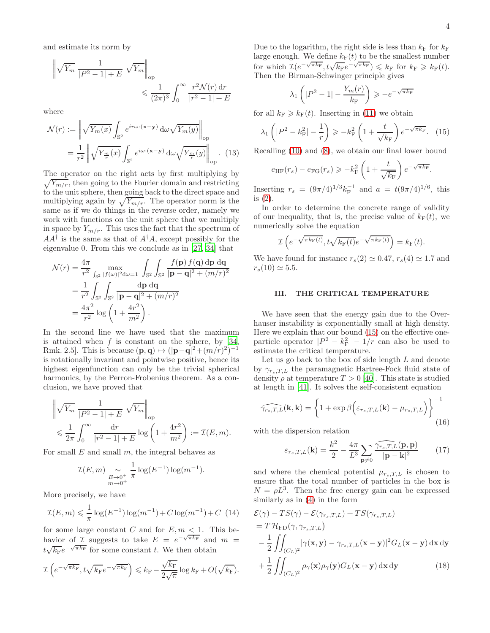and estimate its norm by

$$
\left\| \sqrt{Y_m} \frac{1}{|P^2 - 1| + E} \sqrt{Y_m} \right\|_{op} \le \frac{1}{(2\pi)^3} \int_0^\infty \frac{r^2 \mathcal{N}(r) dr}{|r^2 - 1| + E}
$$

where

$$
\mathcal{N}(r) := \left\| \sqrt{Y_m(x)} \int_{\mathbb{S}^2} e^{ir\omega \cdot (\mathbf{x} - \mathbf{y})} d\omega \sqrt{Y_m(y)} \right\|_{\text{op}}
$$

$$
= \frac{1}{r^2} \left\| \sqrt{Y_m(x)} \int_{\mathbb{S}^2} e^{i\omega \cdot (\mathbf{x} - \mathbf{y})} d\omega \sqrt{Y_m(y)} \right\|_{\text{op}} . (13)
$$

The operator on the right acts by first multiplying by  $\sqrt{Y_{m/r}}$ , then going to the Fourier domain and restricting to the unit sphere, then going back to the direct space and multiplying again by  $\sqrt{Y_{m/r}}$ . The operator norm is the same as if we do things in the reverse order, namely we work with functions on the unit sphere that we multiply in space by  $Y_{m/r}$ . This uses the fact that the spectrum of  $AA^{\dagger}$  is the same as that of  $A^{\dagger}A$ , except possibly for the eigenvalue 0. From this we conclude as in [\[27,](#page-7-13) [34\]](#page-7-19) that

$$
\mathcal{N}(r) = \frac{4\pi}{r^2} \max_{\int_{\mathbb{S}^2} |f(\omega)|^2 d\omega = 1} \int_{\mathbb{S}^2} \int_{\mathbb{S}^2} \frac{f(\mathbf{p}) f(\mathbf{q}) d\mathbf{p} d\mathbf{q}}{|\mathbf{p} - \mathbf{q}|^2 + (m/r)^2}
$$

$$
= \frac{1}{r^2} \int_{\mathbb{S}^2} \int_{\mathbb{S}^2} \frac{d\mathbf{p} d\mathbf{q}}{|\mathbf{p} - \mathbf{q}|^2 + (m/r)^2}
$$

$$
= \frac{4\pi^2}{r^2} \log \left(1 + \frac{4r^2}{m^2}\right).
$$

In the second line we have used that the maximum is attained when  $f$  is constant on the sphere, by [\[34](#page-7-19), Rmk. 2.5]. This is because  $(\mathbf{p}, \mathbf{q}) \mapsto (|\mathbf{p}-\mathbf{q}|^2 + (m/r)^2)^{-1}$ is rotationally invariant and pointwise positive, hence its highest eigenfunction can only be the trivial spherical harmonics, by the Perron-Frobenius theorem. As a conclusion, we have proved that

$$
\left\| \sqrt{Y_m} \frac{1}{|P^2 - 1| + E} \sqrt{Y_m} \right\|_{op}
$$
  
\$\leqslant \frac{1}{2\pi} \int\_0^\infty \frac{\mathrm{d}r}{|r^2 - 1| + E} \log\left(1 + \frac{4r^2}{m^2}\right) := \mathcal{I}(E, m).

For small  $E$  and small  $m$ , the integral behaves as

$$
\mathcal{I}(E,m) \underset{m \to 0^+}{\sim} \frac{1}{\pi} \log(E^{-1}) \log(m^{-1}).
$$

More precisely, we have

<span id="page-3-3"></span>
$$
\mathcal{I}(E,m) \leq \frac{1}{\pi} \log(E^{-1}) \log(m^{-1}) + C \log(m^{-1}) + C \tag{14}
$$

for some large constant C and for  $E, m < 1$ . This behavior of I suggests to take  $E = e^{-\sqrt{\pi k_F}}$  and  $m =$  $t\sqrt{k_{\rm F}}e^{-\sqrt{\pi k_{\rm F}}}$  for some constant t. We then obtain

$$
\mathcal{I}\left(e^{-\sqrt{\pi k_{\rm F}}}, t\sqrt{k_{\rm F}}e^{-\sqrt{\pi k_{\rm F}}}\right) \leq k_{\rm F} - \frac{\sqrt{k_{\rm F}}}{2\sqrt{\pi}}\log k_{\rm F} + O(\sqrt{k_{\rm F}}).
$$

Due to the logarithm, the right side is less than  $k_F$  for  $k_F$ large enough. We define  $k_F(t)$  to be the smallest number for which  $\mathcal{I}(e^{-\sqrt{\pi k_{\text{F}}}}, t\sqrt{k_{\text{F}}}e^{-\sqrt{\pi k_{\text{F}}}}) \leqslant k_{\text{F}}$  for  $k_{\text{F}} \geqslant k_{\text{F}}(t)$ . Then the Birman-Schwinger principle gives

$$
\lambda_1\left(|P^2 - 1| - \frac{Y_m(r)}{k_{\rm F}}\right) \geqslant -e^{-\sqrt{\pi k_{\rm F}}}
$$

for all  $k_F \geq k_F(t)$ . Inserting in [\(11\)](#page-2-2) we obtain

<span id="page-3-0"></span>
$$
\lambda_1 \left( |P^2 - k_{\rm F}^2| - \frac{1}{r} \right) \geqslant -k_{\rm F}^2 \left( 1 + \frac{t}{\sqrt{k_{\rm F}}} \right) e^{-\sqrt{\pi k_{\rm F}}}.
$$
 (15)

<span id="page-3-2"></span>Recalling [\(10\)](#page-2-3) and [\(8\)](#page-2-0), we obtain our final lower bound

$$
e_{\text{HF}}(r_s) - e_{\text{FG}}(r_s) \geqslant -k_{\text{F}}^2 \left(1 + \frac{t}{\sqrt{k_{\text{F}}}}\right) e^{-\sqrt{\pi k_{\text{F}}}}.
$$

Inserting  $r_s = (9\pi/4)^{1/3} k_F^{-1}$  and  $a = t(9\pi/4)^{1/6}$ , this is [\(2\)](#page-0-0).

In order to determine the concrete range of validity of our inequality, that is, the precise value of  $k_F(t)$ , we numerically solve the equation

$$
\mathcal{I}\left(e^{-\sqrt{\pi k_{\mathrm{F}}(t)}}, t\sqrt{k_{\mathrm{F}}(t)}e^{-\sqrt{\pi k_{\mathrm{F}}(t)}}\right) = k_{\mathrm{F}}(t).
$$

We have found for instance  $r_s(2) \simeq 0.47$ ,  $r_s(4) \simeq 1.7$  and  $r_s(10) \simeq 5.5$ .

## <span id="page-3-4"></span>III. THE CRITICAL TEMPERATURE

We have seen that the energy gain due to the Overhauser instability is exponentially small at high density. Here we explain that our bound [\(15\)](#page-3-0) on the effective oneparticle operator  $|P^2 - k_F^2| - 1/r$  can also be used to estimate the critical temperature.

Let us go back to the box of side length  $L$  and denote by  $\gamma_{r_s,T,L}$  the paramagnetic Hartree-Fock fluid state of density  $\rho$  at temperature  $T > 0$  [\[40](#page-7-25)]. This state is studied at length in [\[41\]](#page-7-26). It solves the self-consistent equation

<span id="page-3-1"></span>
$$
\widehat{\gamma_{rs,T,L}}(\mathbf{k}, \mathbf{k}) = \left\{ 1 + \exp \beta \Big( \varepsilon_{rs,T,L}(\mathbf{k}) - \mu_{rs,T,L} \Big) \right\}^{-1}
$$
(16)

with the dispersion relation

$$
\varepsilon_{r_s,T,L}(\mathbf{k}) = \frac{k^2}{2} - \frac{4\pi}{L^3} \sum_{\mathbf{p}\neq 0} \frac{\widehat{\gamma_{r_s,T,L}}(\mathbf{p}, \mathbf{p})}{|\mathbf{p} - \mathbf{k}|^2}
$$
(17)

and where the chemical potential  $\mu_{r_s,T,L}$  is chosen to ensure that the total number of particles in the box is  $N = \rho L^3$ . Then the free energy gain can be expressed similarly as in [\(4\)](#page-1-1) in the form

$$
\mathcal{E}(\gamma) - TS(\gamma) - \mathcal{E}(\gamma_{r_s,T,L}) + TS(\gamma_{r_s,T,L})
$$
  
=  $T \mathcal{H}_{FD}(\gamma, \gamma_{r_s,T,L})$   

$$
- \frac{1}{2} \iint_{(C_L)^2} |\gamma(\mathbf{x}, \mathbf{y}) - \gamma_{r_s,T,L}(\mathbf{x} - \mathbf{y})|^2 G_L(\mathbf{x} - \mathbf{y}) d\mathbf{x} d\mathbf{y}
$$
  

$$
+ \frac{1}{2} \iint_{(C_L)^2} \rho_{\gamma}(\mathbf{x}) \rho_{\gamma}(\mathbf{y}) G_L(\mathbf{x} - \mathbf{y}) d\mathbf{x} d\mathbf{y}
$$
(18)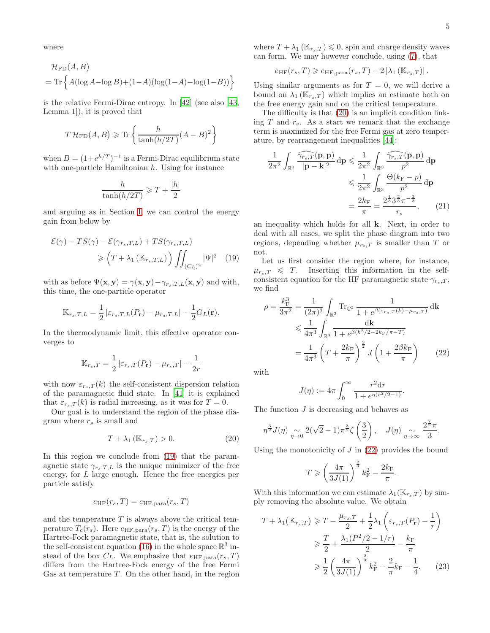where

$$
\mathcal{H}_{\text{FD}}(A, B)
$$
  
= Tr  $\left\{ A(\log A - \log B) + (1 - A)(\log(1 - A) - \log(1 - B)) \right\}$ 

is the relative Fermi-Dirac entropy. In [\[42](#page-7-27)] (see also [\[43](#page-7-28), Lemma 1]), it is proved that

$$
T\mathcal{H}_{\text{FD}}(A,B) \ge \text{Tr}\left\{\frac{h}{\tanh(h/2T)}(A-B)^2\right\}
$$

when  $B = (1 + e^{h/T})^{-1}$  is a Fermi-Dirac equilibrium state with one-particle Hamiltonian  $h$ . Using for instance

$$
\frac{h}{\tanh(h/2T)} \geqslant T + \frac{|h|}{2}
$$

and arguing as in Section [I,](#page-1-4) we can control the energy gain from below by

$$
\mathcal{E}(\gamma) - TS(\gamma) - \mathcal{E}(\gamma_{rs,T,L}) + TS(\gamma_{rs,T,L})
$$

$$
\geqslant \left(T + \lambda_1 \left(\mathbb{K}_{r_s,T,L}\right)\right) \iint_{(C_L)^2} |\Psi|^2 \quad (19)
$$

with as before  $\Psi(\mathbf{x}, \mathbf{y}) = \gamma(\mathbf{x}, \mathbf{y}) - \gamma_{r_s,T,L}(\mathbf{x}, \mathbf{y})$  and with, this time, the one-particle operator

$$
\mathbb{K}_{r_s,T,L} = \frac{1}{2} \left| \varepsilon_{r_s,T,L}(P_{\mathbf{r}}) - \mu_{r_s,T,L} \right| - \frac{1}{2} G_L(\mathbf{r}).
$$

In the thermodynamic limit, this effective operator converges to

$$
\mathbb{K}_{r_s,T} = \frac{1}{2} \left| \varepsilon_{r_s,T}(P_r) - \mu_{r_s,T} \right| - \frac{1}{2r}
$$

with now  $\varepsilon_{r_s,T}(k)$  the self-consistent dispersion relation of the paramagnetic fluid state. In [\[41\]](#page-7-26) it is explained that  $\varepsilon_{r_s,T}(k)$  is radial increasing, as it was for  $T=0$ .

Our goal is to understand the region of the phase diagram where  $r_s$  is small and

<span id="page-4-1"></span>
$$
T + \lambda_1 \left( \mathbb{K}_{r_s, T} \right) > 0. \tag{20}
$$

In this region we conclude from [\(19\)](#page-4-0) that the paramagnetic state  $\gamma_{r_s,T,L}$  is the unique minimizer of the free energy, for L large enough. Hence the free energies per particle satisfy

$$
e_{\text{HF}}(r_s, T) = e_{\text{HF}, \text{para}}(r_s, T)
$$

and the temperature  $T$  is always above the critical temperature  $T_c(r_s)$ . Here  $e_{\text{HF},\text{para}}(r_s,T)$  is the energy of the Hartree-Fock paramagnetic state, that is, the solution to the self-consistent equation [\(16\)](#page-3-1) in the whole space  $\mathbb{R}^3$  instead of the box  $C_L$ . We emphasize that  $e_{HF,para}(r_s, T)$ differs from the Hartree-Fock energy of the free Fermi Gas at temperature  $T$ . On the other hand, in the region

where  $T + \lambda_1 (\mathbb{K}_{r_s,T}) \leq 0$ , spin and charge density waves can form. We may however conclude, using [\(7\)](#page-2-4), that

$$
e_{\text{HF}}(r_s, T) \geqslant e_{\text{HF}, \text{para}}(r_s, T) - 2 \left| \lambda_1 \left( \mathbb{K}_{r_s,T} \right) \right|.
$$

Using similar arguments as for  $T = 0$ , we will derive a bound on  $\lambda_1(\mathbb{K}_{r_s,T})$  which implies an estimate both on the free energy gain and on the critical temperature.

The difficulty is that [\(20\)](#page-4-1) is an implicit condition linking T and  $r_s$ . As a start we remark that the exchange term is maximized for the free Fermi gas at zero temperature, by rearrangement inequalities [\[44\]](#page-7-29):

<span id="page-4-4"></span>
$$
\frac{1}{2\pi^2} \int_{\mathbb{R}^3} \frac{\widehat{\gamma_{r_s,T}}(\mathbf{p}, \mathbf{p})}{|\mathbf{p} - \mathbf{k}|^2} d\mathbf{p} \leqslant \frac{1}{2\pi^2} \int_{\mathbb{R}^3} \frac{\widehat{\gamma_{r_s,T}}(\mathbf{p}, \mathbf{p})}{p^2} d\mathbf{p}
$$

$$
\leqslant \frac{1}{2\pi^2} \int_{\mathbb{R}^3} \frac{\Theta(k_{\rm F} - p)}{p^2} d\mathbf{p}
$$

$$
= \frac{2k_{\rm F}}{\pi} = \frac{2^{\frac{1}{3}} 3^{\frac{2}{3}} \pi^{-\frac{2}{3}}}{r_s},\qquad(21)
$$

an inequality which holds for all k. Next, in order to deal with all cases, we split the phase diagram into two regions, depending whether  $\mu_{r_s,T}$  is smaller than T or not.

<span id="page-4-0"></span>Let us first consider the region where, for instance,  $\mu_{r_s,T} \leq T$ . Inserting this information in the selfconsistent equation for the HF paramagnetic state  $\gamma_{r,s,T}$ , we find

$$
\rho = \frac{k_{\rm F}^3}{3\pi^2} = \frac{1}{(2\pi)^3} \int_{\mathbb{R}^3} \text{Tr}_{\mathbb{C}^2} \frac{1}{1 + e^{\beta(\varepsilon_{r_s, T}(k) - \mu_{r_s, T})}} \, \mathrm{d}k
$$
  
\$\leqslant \frac{1}{4\pi^3} \int\_{\mathbb{R}^3} \frac{\mathrm{d}k}{1 + e^{\beta(k^2/2 - 2k\_{\rm F}/\pi - T)}}\n= \frac{1}{4\pi^3} \left( T + \frac{2k\_{\rm F}}{\pi} \right)^{\frac{3}{2}} J \left( 1 + \frac{2\beta k\_{\rm F}}{\pi} \right) \tag{22}

with

<span id="page-4-2"></span>
$$
J(\eta) := 4\pi \int_0^\infty \frac{r^2 dr}{1 + e^{\eta(r^2/2 - 1)}}.
$$

The function  $J$  is decreasing and behaves as

$$
\eta^{\frac{3}{2}} J(\eta) \underset{\eta \to 0}{\sim} 2(\sqrt{2}-1)\pi^{\frac{3}{2}} \zeta\left(\frac{3}{2}\right), \quad J(\eta) \underset{\eta \to \infty}{\sim} \frac{2^{\frac{7}{2}}\pi}{3}.
$$

Using the monotonicity of  $J$  in  $(22)$  provides the bound

<span id="page-4-3"></span>
$$
T \geqslant \left(\frac{4\pi}{3J(1)}\right)^{\frac{2}{3}}k_{\mathrm{F}}^2 - \frac{2k_{\mathrm{F}}}{\pi}.
$$

With this information we can estimate  $\lambda_1(\mathbb{K}_{r,s,T})$  by simply removing the absolute value. We obtain

$$
T + \lambda_1 (\mathbb{K}_{r_s,T}) \geqslant T - \frac{\mu_{r_s,T}}{2} + \frac{1}{2}\lambda_1 \left(\varepsilon_{r_s,T}(P_r) - \frac{1}{r}\right)
$$
  

$$
\geqslant \frac{T}{2} + \frac{\lambda_1 (P^2/2 - 1/r)}{2} - \frac{k_F}{\pi}
$$
  

$$
\geqslant \frac{1}{2} \left(\frac{4\pi}{3J(1)}\right)^{\frac{2}{3}} k_F^2 - \frac{2}{\pi} k_F - \frac{1}{4}.
$$
 (23)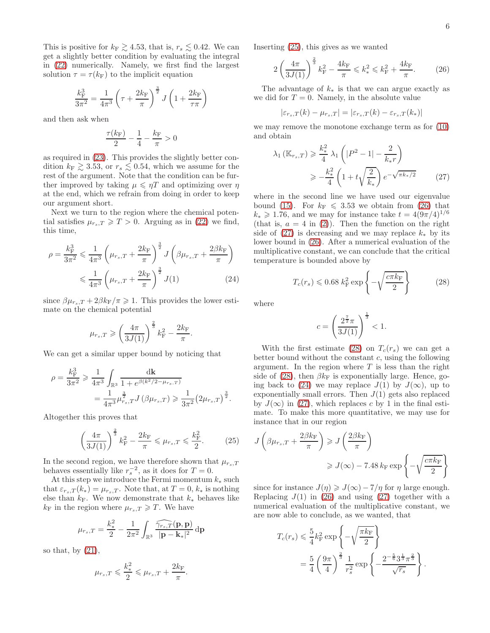This is positive for  $k_F \gtrsim 4.53$ , that is,  $r_s \lesssim 0.42$ . We can get a slightly better condition by evaluating the integral in [\(22\)](#page-4-2) numerically. Namely, we first find the largest solution  $\tau = \tau(k_F)$  to the implicit equation

$$
\frac{k_{\rm F}^3}{3\pi^2} = \frac{1}{4\pi^3} \left(\tau + \frac{2k_{\rm F}}{\pi}\right)^{\frac{3}{2}} J\left(1 + \frac{2k_{\rm F}}{\tau\pi}\right)
$$

and then ask when

$$
\frac{\tau(k_{\rm F})}{2} - \frac{1}{4} - \frac{k_{\rm F}}{\pi} > 0
$$

as required in [\(23\)](#page-4-3). This provides the slightly better condition  $k_F \gtrsim 3.53$ , or  $r_s \lesssim 0.54$ , which we assume for the rest of the argument. Note that the condition can be further improved by taking  $\mu \leq \eta T$  and optimizing over  $\eta$ at the end, which we refrain from doing in order to keep our argument short.

Next we turn to the region where the chemical potential satisfies  $\mu_{r,T} \geqslant T > 0$ . Arguing as in [\(22\)](#page-4-2) we find, this time,

$$
\rho = \frac{k_{\rm F}^3}{3\pi^2} \leq \frac{1}{4\pi^3} \left(\mu_{r_s,T} + \frac{2k_{\rm F}}{\pi}\right)^{\frac{3}{2}} J\left(\beta\mu_{r_s,T} + \frac{2\beta k_{\rm F}}{\pi}\right)
$$

$$
\leq \frac{1}{4\pi^3} \left(\mu_{r_s,T} + \frac{2k_{\rm F}}{\pi}\right)^{\frac{3}{2}} J(1) \tag{24}
$$

since  $\beta \mu_{r_s,T} + 2\beta k_F/\pi \geq 1$ . This provides the lower estimate on the chemical potential

$$
\mu_{r_s,T} \geqslant \left(\frac{4\pi}{3J(1)}\right)^{\frac{2}{3}} k_{\rm F}^2 - \frac{2k_{\rm F}}{\pi}.
$$

We can get a similar upper bound by noticing that

$$
\rho = \frac{k_{\rm F}^3}{3\pi^2} \ge \frac{1}{4\pi^3} \int_{\mathbb{R}^3} \frac{d\mathbf{k}}{1 + e^{\beta(k^2/2 - \mu_{rs,T})}} \n= \frac{1}{4\pi^3} \mu_{rs,T}^{\frac{3}{2}} J\left(\beta \mu_{rs,T}\right) \ge \frac{1}{3\pi^2} \left(2\mu_{rs,T}\right)^{\frac{3}{2}}.
$$

Altogether this proves that

<span id="page-5-0"></span>
$$
\left(\frac{4\pi}{3J(1)}\right)^{\frac{2}{3}}k_{\rm F}^{2} - \frac{2k_{\rm F}}{\pi} \leqslant \mu_{r_{s},T} \leqslant \frac{k_{\rm F}^{2}}{2}.
$$
 (25)

In the second region, we have therefore shown that  $\mu_{r_s,T}$ behaves essentially like  $r_s^{-2}$ , as it does for  $T=0$ .

At this step we introduce the Fermi momentum  $k_*$  such that  $\varepsilon_{r_s,T}(k_*) = \mu_{r_s,T}$ . Note that, at  $T = 0, k_*$  is nothing else than  $k_F$ . We now demonstrate that  $k_*$  behaves like  $k_{\rm F}$  in the region where  $\mu_{r_s,T} \geqslant T$ . We have

$$
\mu_{r_s,T} = \frac{k_*^2}{2} - \frac{1}{2\pi^2} \int_{\mathbb{R}^3} \frac{\widehat{\gamma_{r_s,T}}(\mathbf{p}, \mathbf{p})}{|\mathbf{p} - \mathbf{k}_*|^2} \,\mathrm{d}\mathbf{p}
$$

so that, by  $(21)$ ,

$$
\mu_{r_s,T} \leqslant \frac{k_*^2}{2} \leqslant \mu_{r_s,T} + \frac{2k_{\rm F}}{\pi}.
$$

Inserting [\(25\)](#page-5-0), this gives as we wanted

<span id="page-5-1"></span>
$$
2\left(\frac{4\pi}{3J(1)}\right)^{\frac{2}{3}}k_{\rm F}^2 - \frac{4k_{\rm F}}{\pi} \leq k_*^2 \leq k_{\rm F}^2 + \frac{4k_{\rm F}}{\pi}.\tag{26}
$$

The advantage of  $k_*$  is that we can argue exactly as we did for  $T = 0$ . Namely, in the absolute value

$$
|\varepsilon_{r_s,T}(k) - \mu_{r_s,T}| = |\varepsilon_{r_s,T}(k) - \varepsilon_{r_s,T}(k_*)|
$$

we may remove the monotone exchange term as for [\(10\)](#page-2-3) and obtain

<span id="page-5-2"></span>
$$
\lambda_1(\mathbb{K}_{r_s,T}) \geq \frac{k_*^2}{4} \lambda_1 \left( |P^2 - 1| - \frac{2}{k_*r} \right)
$$
  

$$
\geq -\frac{k_*^2}{4} \left( 1 + t \sqrt{\frac{2}{k_*}} \right) e^{-\sqrt{\pi k_*/2}}
$$
 (27)

where in the second line we have used our eigenvalue bound [\(15\)](#page-3-0). For  $k_F \leqslant 3.53$  we obtain from [\(26\)](#page-5-1) that  $k_* \geq 1.76$ , and we may for instance take  $t = 4(9\pi/4)^{1/6}$ (that is,  $a = 4$  in [\(2\)](#page-0-0)). Then the function on the right side of  $(27)$  is decreasing and we may replace  $k_{*}$  by its lower bound in [\(26\)](#page-5-1). After a numerical evaluation of the multiplicative constant, we can conclude that the critical temperature is bounded above by

<span id="page-5-3"></span>
$$
T_c(r_s) \leqslant 0.68 \ k_{\rm F}^2 \exp\left\{-\sqrt{\frac{c\pi k_{\rm F}}{2}}\right\} \tag{28}
$$

<span id="page-5-4"></span>where

$$
c = \left(\frac{2^{\frac{7}{2}}\pi}{3J(1)}\right)^{\frac{1}{3}} < 1.
$$

With the first estimate [\(28\)](#page-5-3) on  $T_c(r_s)$  we can get a better bound without the constant  $c$ , using the following argument. In the region where  $T$  is less than the right side of [\(28\)](#page-5-3), then  $\beta k_F$  is exponentially large. Hence, go-ing back to [\(24\)](#page-5-4) we may replace  $J(1)$  by  $J(\infty)$ , up to exponentially small errors. Then  $J(1)$  gets also replaced by  $J(\infty)$  in [\(27\)](#page-5-2), which replaces c by 1 in the final estimate. To make this more quantitative, we may use for instance that in our region

$$
J\left(\beta\mu_{r_s,T} + \frac{2\beta k_{\rm F}}{\pi}\right) \ge J\left(\frac{2\beta k_{\rm F}}{\pi}\right)
$$

$$
\ge J(\infty) - 7.48 k_{\rm F} \exp\left\{-\sqrt{\frac{c\pi k_{\rm F}}{2}}\right\}
$$

since for instance  $J(\eta) \geqslant J(\infty) - 7/\eta$  for  $\eta$  large enough. Replacing  $J(1)$  in [\(26\)](#page-5-1) and using [\(27\)](#page-5-2) together with a numerical evaluation of the multiplicative constant, we are now able to conclude, as we wanted, that

$$
T_c(r_s) \leq \frac{5}{4} k_{\rm F}^2 \exp\left\{-\sqrt{\frac{\pi k_{\rm F}}{2}}\right\}
$$
  
=  $\frac{5}{4} \left(\frac{9\pi}{4}\right)^{\frac{2}{3}} \frac{1}{r_s^2} \exp\left\{-\frac{2^{-\frac{5}{6}} 3^{\frac{1}{3}} \pi^{\frac{2}{3}}}{\sqrt{r_s}}\right\}.$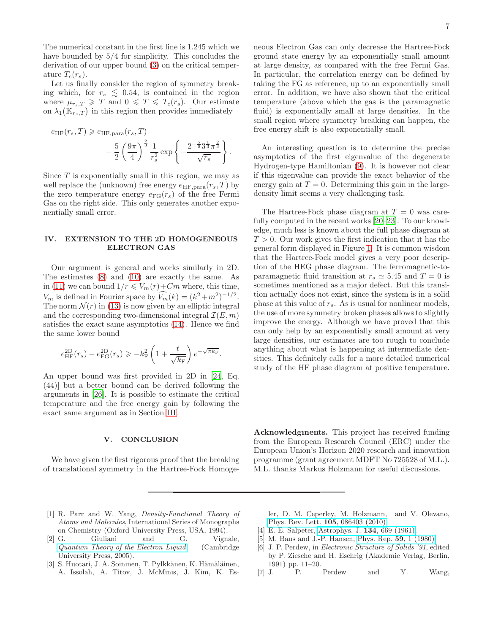The numerical constant in the first line is 1.245 which we have bounded by 5/4 for simplicity. This concludes the derivation of our upper bound [\(3\)](#page-1-0) on the critical temperature  $T_c(r_s)$ .

Let us finally consider the region of symmetry breaking which, for  $r_s \leq 0.54$ , is contained in the region where  $\mu_{r_s,T} \geq T$  and  $0 \leq T \leq T_c(r_s)$ . Our estimate on  $\lambda_1(\mathbb{K}_{r_s,T})$  in this region then provides immediately

$$
e_{\text{HF}}(r_s, T) \ge e_{\text{HF}, \text{para}}(r_s, T)
$$
  

$$
- \frac{5}{2} \left(\frac{9\pi}{4}\right)^{\frac{2}{3}} \frac{1}{r_s^2} \exp\left\{-\frac{2^{-\frac{5}{6}} 3^{\frac{1}{3}} \pi^{\frac{2}{3}}}{\sqrt{r_s}}\right\}.
$$

Since  $T$  is exponentially small in this region, we may as well replace the (unknown) free energy  $e_{\text{HF},\text{para}}(r_s,T)$  by the zero temperature energy  $e_{FG}(r_s)$  of the free Fermi Gas on the right side. This only generates another exponentially small error.

### IV. EXTENSION TO THE 2D HOMOGENEOUS ELECTRON GAS

Our argument is general and works similarly in 2D. The estimates [\(8\)](#page-2-0) and [\(10\)](#page-2-3) are exactly the same. As in [\(11\)](#page-2-2) we can bound  $1/r \leq V_m(r)+Cm$  where, this time,  $V_m$  is defined in Fourier space by  $\widehat{V_m}(k) = (k^2 + m^2)^{-1/2}$ . The norm  $\mathcal{N}(r)$  in [\(13\)](#page-3-2) is now given by an elliptic integral and the corresponding two-dimensional integral  $\mathcal{I}(E, m)$ satisfies the exact same asymptotics [\(14\)](#page-3-3). Hence we find the same lower bound

$$
e^{\rm 2D}_{\rm HF}(r_s) - e^{\rm 2D}_{\rm FG}(r_s) \geqslant -k_{\rm F}^2 \left(1 + \frac{t}{\sqrt{k_{\rm F}}}\right) e^{-\sqrt{\pi k_{\rm F}}}.
$$

An upper bound was first provided in 2D in [\[24](#page-7-30), Eq. (44)] but a better bound can be derived following the arguments in [\[26\]](#page-7-12). It is possible to estimate the critical temperature and the free energy gain by following the exact same argument as in Section [III.](#page-3-4)

#### V. CONCLUSION

We have given the first rigorous proof that the breaking of translational symmetry in the Hartree-Fock Homogeneous Electron Gas can only decrease the Hartree-Fock ground state energy by an exponentially small amount at large density, as compared with the free Fermi Gas. In particular, the correlation energy can be defined by taking the FG as reference, up to an exponentially small error. In addition, we have also shown that the critical temperature (above which the gas is the paramagnetic fluid) is exponentially small at large densities. In the small region where symmetry breaking can happen, the free energy shift is also exponentially small.

An interesting question is to determine the precise asymptotics of the first eigenvalue of the degenerate Hydrogen-type Hamiltonian [\(9\)](#page-2-5). It is however not clear if this eigenvalue can provide the exact behavior of the energy gain at  $T = 0$ . Determining this gain in the largedensity limit seems a very challenging task.

The Hartree-Fock phase diagram at  $T = 0$  was carefully computed in the recent works [\[20](#page-7-8)[–23\]](#page-7-9). To our knowledge, much less is known about the full phase diagram at  $T > 0$ . Our work gives the first indication that it has the general form displayed in Figure [1.](#page-7-31) It is common wisdom that the Hartree-Fock model gives a very poor description of the HEG phase diagram. The ferromagnetic-toparamagnetic fluid transition at  $r_s \simeq 5.45$  and  $T = 0$  is sometimes mentioned as a major defect. But this transition actually does not exist, since the system is in a solid phase at this value of  $r_s$ . As is usual for nonlinear models, the use of more symmetry broken phases allows to slightly improve the energy. Although we have proved that this can only help by an exponentially small amount at very large densities, our estimates are too rough to conclude anything about what is happening at intermediate densities. This definitely calls for a more detailed numerical study of the HF phase diagram at positive temperature.

Acknowledgments. This project has received funding from the European Research Council (ERC) under the European Union's Horizon 2020 research and innovation programme (grant agreement MDFT No 725528 of M.L.). M.L. thanks Markus Holzmann for useful discussions.

- <span id="page-6-0"></span>[1] R. Parr and W. Yang, Density-Functional Theory of Atoms and Molecules, International Series of Monographs on Chemistry (Oxford University Press, USA, 1994).
- <span id="page-6-1"></span>[2] G. Giuliani and G. Vignale, [Quantum Theory of the Electron Liquid](http://www.google.dk/books?id=kFkIKRfgUpsC) (Cambridge University Press, 2005).
- <span id="page-6-2"></span>[3] S. Huotari, J. A. Soininen, T. Pylkkänen, K. Hämäläinen, A. Issolah, A. Titov, J. McMinis, J. Kim, K. Es-

ler, D. M. Ceperley, M. Holzmann, and V. Olevano, [Phys. Rev. Lett.](http://dx.doi.org/ 10.1103/PhysRevLett.105.086403) 105, 086403 (2010).

- <span id="page-6-3"></span>[4] E. E. Salpeter, [Astrophys. J.](http://dx.doi.org/10.1086/147194) 134, 669 (1961).
- <span id="page-6-4"></span>[5] M. Baus and J.-P. Hansen, [Phys. Rep.](http://dx.doi.org/10.1016/0370-1573(80)90022-8) 59, 1 (1980).
- <span id="page-6-5"></span>[6] J. P. Perdew, in Electronic Structure of Solids '91, edited by P. Ziesche and H. Eschrig (Akademie Verlag, Berlin, 1991) pp. 11–20.
- [7] J. P. Perdew and Y. Wang,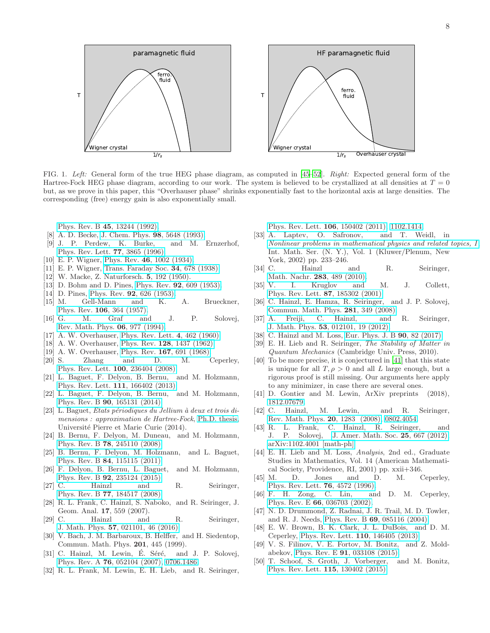

<span id="page-7-31"></span>FIG. 1. Left: General form of the true HEG phase diagram, as computed in [\[45](#page-7-32)[–52](#page-8-0)]. Right: Expected general form of the Hartree-Fock HEG phase diagram, according to our work. The system is believed to be crystallized at all densities at  $T = 0$ but, as we prove in this paper, this "Overhauser phase" shrinks exponentially fast to the horizontal axis at large densities. The corresponding (free) energy gain is also exponentially small.

Phys. Rev. B 45[, 13244 \(1992\).](http://dx.doi.org/10.1103/PhysRevB.45.13244)

- [8] A. D. Becke, [J. Chem. Phys.](http://dx.doi.org/10.1063/1.464913) 98, 5648 (1993).
- <span id="page-7-0"></span>[9] J. P. Perdew, K. Burke, and M. Ernzerhof, [Phys. Rev. Lett.](http://dx.doi.org/10.1103/PhysRevLett.77.3865) 77, 3865 (1996).
- <span id="page-7-1"></span>[10] E. P. Wigner, Phys. Rev. 46[, 1002 \(1934\).](http://dx.doi.org/10.1103/PhysRev.46.1002)
- <span id="page-7-2"></span>[11] E. P. Wigner, [Trans. Faraday Soc.](http://dx.doi.org/10.1039/TF9383400678) 34, 678 (1938).
- <span id="page-7-3"></span>[12] W. Macke, Z. Naturforsch. 5, 192 (1950).
- [13] D. Bohm and D. Pines, Phys. Rev. **92**[, 609 \(1953\).](http://dx.doi.org/10.1103/PhysRev.92.609)
- [14] D. Pines, Phys. Rev. **92**[, 626 \(1953\).](http://dx.doi.org/10.1103/PhysRev.92.626)
- <span id="page-7-4"></span>[15] M. Gell-Mann and K. A. Brueckner, Phys. Rev. 106[, 364 \(1957\).](http://dx.doi.org/10.1103/PhysRev.106.364)
- <span id="page-7-5"></span>[16] G. M. Graf and J. P. Solovej, [Rev. Math. Phys.](http://dx.doi.org/10.1142/S0129055X94000328) 06, 977 (1994).
- <span id="page-7-6"></span>[17] A. W. Overhauser, [Phys. Rev. Lett.](http://dx.doi.org/10.1103/PhysRevLett.4.462) 4, 462 (1960).
- [18] A. W. Overhauser, Phys. Rev. 128[, 1437 \(1962\).](http://dx.doi.org/10.1103/PhysRev.128.1437)
- <span id="page-7-7"></span>[19] A. W. Overhauser, Phys. Rev. **167**[, 691 \(1968\).](http://dx.doi.org/10.1103/PhysRev.167.691)
- <span id="page-7-8"></span>[20] S. Zhang and D. M. Ceperley, [Phys. Rev. Lett.](http://dx.doi.org/10.1103/PhysRevLett.100.236404) 100, 236404 (2008).
- <span id="page-7-10"></span>[21] L. Baguet, F. Delyon, B. Bernu, and M. Holzmann, [Phys. Rev. Lett.](http://dx.doi.org/ 10.1103/PhysRevLett.111.166402) 111, 166402 (2013).
- [22] L. Baguet, F. Delyon, B. Bernu, and M. Holzmann, Phys. Rev. B 90[, 165131 \(2014\).](http://dx.doi.org/ 10.1103/PhysRevB.90.165131)
- <span id="page-7-9"></span>[23] L. Baguet, *Etats périodiques du Jellium à deux et trois di*mensions : approximation de Hartree-Fock, [Ph.D. thesis,](https://tel.archives-ouvertes.fr/tel-01127918) Université Pierre et Marie Curie (2014).
- <span id="page-7-30"></span>[24] B. Bernu, F. Delyon, M. Duneau, and M. Holzmann, Phys. Rev. B 78[, 245110 \(2008\).](http://dx.doi.org/ 10.1103/PhysRevB.78.245110)
- <span id="page-7-11"></span>[25] B. Bernu, F. Delyon, M. Holzmann, and L. Baguet, Phys. Rev. B 84[, 115115 \(2011\).](http://dx.doi.org/10.1103/PhysRevB.84.115115)
- <span id="page-7-12"></span>[26] F. Delyon, B. Bernu, L. Baguet, and M. Holzmann, Phys. Rev. B 92[, 235124 \(2015\).](http://dx.doi.org/ 10.1103/PhysRevB.92.235124)
- <span id="page-7-13"></span>[27] C. Hainzl and R. Seiringer, Phys. Rev. B 77[, 184517 \(2008\).](http://dx.doi.org/10.1103/PhysRevB.77.184517)
- <span id="page-7-23"></span>[28] R. L. Frank, C. Hainzl, S. Naboko, and R. Seiringer, J. Geom. Anal. 17, 559 (2007).
- <span id="page-7-14"></span>[29] C. Hainzl and R. Seiringer, J. Math. Phys. 57[, 021101, 46 \(2016\).](http://dx.doi.org/10.1063/1.4941723)
- <span id="page-7-15"></span>[30] V. Bach, J. M. Barbaroux, B. Helffer, and H. Siedentop, Commun. Math. Phys. 201, 445 (1999).
- <span id="page-7-16"></span>[31] C. Hainzl, M. Lewin, É. Séré, and J. P. Solovej, Phys. Rev. A 76[, 052104 \(2007\),](http://dx.doi.org/10.1103/PhysRevA.76.052104) [0706.1486.](http://arxiv.org/abs/0706.1486)
- <span id="page-7-17"></span>[32] R. L. Frank, M. Lewin, E. H. Lieb, and R. Seiringer,

[Phys. Rev. Lett.](http://dx.doi.org/10.1103/PhysRevLett.106.150402) 106, 150402 (2011), [1102.1414.](http://arxiv.org/abs/1102.1414)

- <span id="page-7-18"></span>[33] A. Laptev, O. Safronov, and T. Weidl, in [Nonlinear problems in mathematical physics and related topics, I](http://dx.doi.org/10.1007/978-1-4615-0777-2_14), Int. Math. Ser. (N. Y.), Vol. 1 (Kluwer/Plenum, New York, 2002) pp. 233–246.
- <span id="page-7-19"></span>[34] C. Hainzl and R. Seiringer, [Math. Nachr.](http://dx.doi.org/10.1002/mana.200810195) 283, 489 (2010).
- <span id="page-7-20"></span>[35] V. I. Kruglov and M. J. Collett, [Phys. Rev. Lett.](http://dx.doi.org/10.1103/PhysRevLett.87.185302) 87, 185302 (2001).
- <span id="page-7-21"></span>[36] C. Hainzl, E. Hamza, R. Seiringer, and J. P. Solovej, [Commun. Math. Phys.](http://dx.doi.org/10.1007/s00220-008-0489-2) 281, 349 (2008).
- [37] A. Freiji, C. Hainzl, and R. Seiringer, J. Math. Phys. 53[, 012101, 19 \(2012\).](http://dx.doi.org/10.1063/1.3670747)
- <span id="page-7-22"></span>[38] C. Hainzl and M. Loss, [Eur. Phys. J. B](http://dx.doi.org/10.1140/epjb/e2017-70318-3) **90**, 82 (2017).
- <span id="page-7-24"></span>[39] E. H. Lieb and R. Seiringer, The Stability of Matter in Quantum Mechanics (Cambridge Univ. Press, 2010).
- <span id="page-7-25"></span>[40] To be more precise, it is conjectured in [\[41](#page-7-26)] that this state is unique for all  $T, \rho > 0$  and all L large enough, but a rigorous proof is still missing. Our arguments here apply to any minimizer, in case there are several ones.
- <span id="page-7-26"></span>[41] D. Gontier and M. Lewin, ArXiv preprints (2018), [1812.07679.](http://arxiv.org/abs/1812.07679)
- <span id="page-7-27"></span>[42] C. Hainzl, M. Lewin, and R. Seiringer, [Rev. Math. Phys.](http://dx.doi.org/10.1142/S0129055X08003547) 20, 1283 (2008), [0802.4054.](http://arxiv.org/abs/0802.4054)
- <span id="page-7-28"></span>[43] R. L. Frank, C. Hainzl, R. Seiringer, and J. P. Solovej, [J. Amer. Math. Soc.](http://dx.doi.org/10.1090/S0894-0347-2012-00735-8) 25, 667 (2012), [arXiv:1102.4001 \[math-ph\].](http://arxiv.org/abs/1102.4001)
- <span id="page-7-29"></span>[44] E. H. Lieb and M. Loss, Analysis, 2nd ed., Graduate Studies in Mathematics, Vol. 14 (American Mathematical Society, Providence, RI, 2001) pp. xxii+346.
- <span id="page-7-32"></span>[45] M. D. Jones and D. M. Ceperley, [Phys. Rev. Lett.](http://dx.doi.org/10.1103/PhysRevLett.76.4572) 76, 4572 (1996).
- [46] F. H. Zong, C. Lin, and D. M. Ceperley, Phys. Rev. E 66[, 036703 \(2002\).](http://dx.doi.org/10.1103/PhysRevE.66.036703)
- [47] N. D. Drummond, Z. Radnai, J. R. Trail, M. D. Towler, and R. J. Needs, Phys. Rev. B 69[, 085116 \(2004\).](http://dx.doi.org/ 10.1103/PhysRevB.69.085116)
- [48] E. W. Brown, B. K. Clark, J. L. DuBois, and D. M. Ceperley, [Phys. Rev. Lett.](http://dx.doi.org/10.1103/PhysRevLett.110.146405) 110, 146405 (2013).
- [49] V. S. Filinov, V. E. Fortov, M. Bonitz, and Z. Moldabekov, Phys. Rev. E 91[, 033108 \(2015\).](http://dx.doi.org/ 10.1103/PhysRevE.91.033108)
- [50] T. Schoof, S. Groth, J. Vorberger, and M. Bonitz, [Phys. Rev. Lett.](http://dx.doi.org/10.1103/PhysRevLett.115.130402) 115, 130402 (2015).